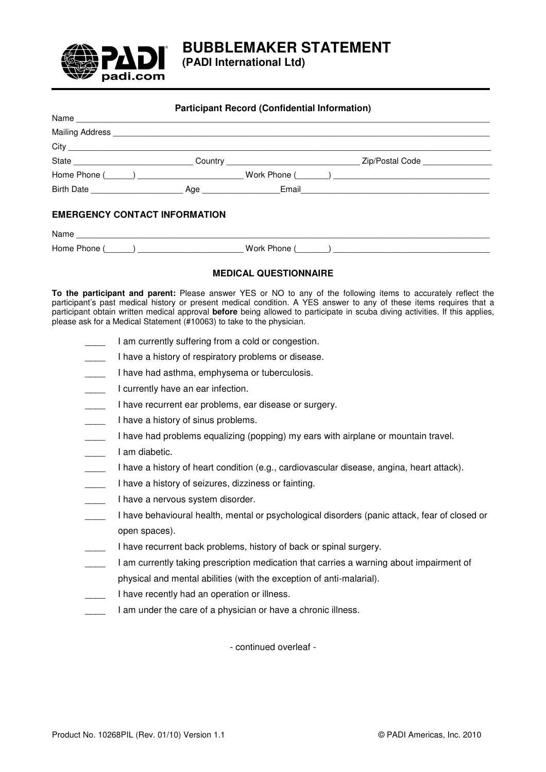

**(PADI International Ltd)** 

| <b>Participant Record (Confidential Information)</b> |  |  |  |  |  |
|------------------------------------------------------|--|--|--|--|--|
| Name                                                 |  |  |  |  |  |
|                                                      |  |  |  |  |  |
|                                                      |  |  |  |  |  |
|                                                      |  |  |  |  |  |
|                                                      |  |  |  |  |  |
|                                                      |  |  |  |  |  |
| <b>EMERGENCY CONTACT INFORMATION</b>                 |  |  |  |  |  |
|                                                      |  |  |  |  |  |
|                                                      |  |  |  |  |  |

## **MEDICAL QUESTIONNAIRE**

**To the participant and parent:** Please answer YES or NO to any of the following items to accurately reflect the participant's past medical history or present medical condition. A YES answer to any of these items requires that a participant obtain written medical approval **before** being allowed to participate in scuba diving activities. If this applies, please ask for a Medical Statement (#10063) to take to the physician.

- I am currently suffering from a cold or congestion.
- I have a history of respiratory problems or disease.
- I have had asthma, emphysema or tuberculosis.
- I currently have an ear infection.
- I have recurrent ear problems, ear disease or surgery.
- I have a history of sinus problems.
- I have had problems equalizing (popping) my ears with airplane or mountain travel.
- \_\_\_\_ I am diabetic.
- \_\_\_\_ I have a history of heart condition (e.g., cardiovascular disease, angina, heart attack).
- I have a history of seizures, dizziness or fainting.
- I have a nervous system disorder.
- \_\_\_\_ I have behavioural health, mental or psychological disorders (panic attack, fear of closed or open spaces).
- I have recurrent back problems, history of back or spinal surgery.
- \_\_\_\_ I am currently taking prescription medication that carries a warning about impairment of
- physical and mental abilities (with the exception of anti-malarial).
- I have recently had an operation or illness.
- I am under the care of a physician or have a chronic illness.

- continued overleaf -